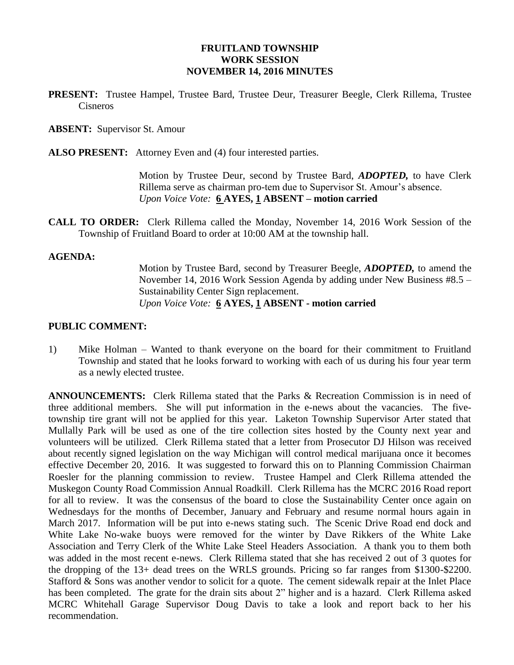## **FRUITLAND TOWNSHIP WORK SESSION NOVEMBER 14, 2016 MINUTES**

**PRESENT:** Trustee Hampel, Trustee Bard, Trustee Deur, Treasurer Beegle, Clerk Rillema, Trustee Cisneros

**ABSENT:** Supervisor St. Amour

**ALSO PRESENT:** Attorney Even and (4) four interested parties.

Motion by Trustee Deur, second by Trustee Bard, *ADOPTED,* to have Clerk Rillema serve as chairman pro-tem due to Supervisor St. Amour's absence. *Upon Voice Vote:* **6 AYES, 1 ABSENT – motion carried**

**CALL TO ORDER:** Clerk Rillema called the Monday, November 14, 2016 Work Session of the Township of Fruitland Board to order at 10:00 AM at the township hall.

### **AGENDA:**

Motion by Trustee Bard, second by Treasurer Beegle, *ADOPTED,* to amend the November 14, 2016 Work Session Agenda by adding under New Business #8.5 – Sustainability Center Sign replacement. *Upon Voice Vote:* **6 AYES, 1 ABSENT - motion carried**

### **PUBLIC COMMENT:**

1) Mike Holman – Wanted to thank everyone on the board for their commitment to Fruitland Township and stated that he looks forward to working with each of us during his four year term as a newly elected trustee.

**ANNOUNCEMENTS:** Clerk Rillema stated that the Parks & Recreation Commission is in need of three additional members. She will put information in the e-news about the vacancies. The fivetownship tire grant will not be applied for this year. Laketon Township Supervisor Arter stated that Mullally Park will be used as one of the tire collection sites hosted by the County next year and volunteers will be utilized. Clerk Rillema stated that a letter from Prosecutor DJ Hilson was received about recently signed legislation on the way Michigan will control medical marijuana once it becomes effective December 20, 2016. It was suggested to forward this on to Planning Commission Chairman Roesler for the planning commission to review. Trustee Hampel and Clerk Rillema attended the Muskegon County Road Commission Annual Roadkill. Clerk Rillema has the MCRC 2016 Road report for all to review. It was the consensus of the board to close the Sustainability Center once again on Wednesdays for the months of December, January and February and resume normal hours again in March 2017. Information will be put into e-news stating such. The Scenic Drive Road end dock and White Lake No-wake buoys were removed for the winter by Dave Rikkers of the White Lake Association and Terry Clerk of the White Lake Steel Headers Association. A thank you to them both was added in the most recent e-news. Clerk Rillema stated that she has received 2 out of 3 quotes for the dropping of the 13+ dead trees on the WRLS grounds. Pricing so far ranges from \$1300-\$2200. Stafford & Sons was another vendor to solicit for a quote. The cement sidewalk repair at the Inlet Place has been completed. The grate for the drain sits about 2" higher and is a hazard. Clerk Rillema asked MCRC Whitehall Garage Supervisor Doug Davis to take a look and report back to her his recommendation.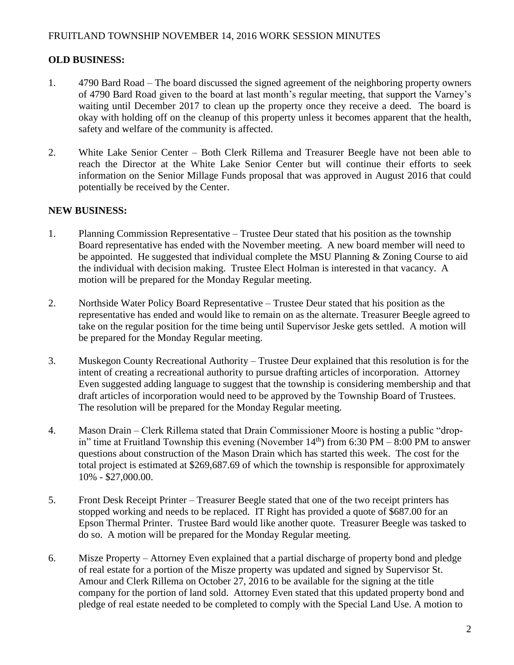# **OLD BUSINESS:**

- 1. 4790 Bard Road The board discussed the signed agreement of the neighboring property owners of 4790 Bard Road given to the board at last month's regular meeting, that support the Varney's waiting until December 2017 to clean up the property once they receive a deed. The board is okay with holding off on the cleanup of this property unless it becomes apparent that the health, safety and welfare of the community is affected.
- 2. White Lake Senior Center Both Clerk Rillema and Treasurer Beegle have not been able to reach the Director at the White Lake Senior Center but will continue their efforts to seek information on the Senior Millage Funds proposal that was approved in August 2016 that could potentially be received by the Center.

## **NEW BUSINESS:**

- 1. Planning Commission Representative Trustee Deur stated that his position as the township Board representative has ended with the November meeting. A new board member will need to be appointed. He suggested that individual complete the MSU Planning & Zoning Course to aid the individual with decision making. Trustee Elect Holman is interested in that vacancy. A motion will be prepared for the Monday Regular meeting.
- 2. Northside Water Policy Board Representative Trustee Deur stated that his position as the representative has ended and would like to remain on as the alternate. Treasurer Beegle agreed to take on the regular position for the time being until Supervisor Jeske gets settled. A motion will be prepared for the Monday Regular meeting.
- 3. Muskegon County Recreational Authority Trustee Deur explained that this resolution is for the intent of creating a recreational authority to pursue drafting articles of incorporation. Attorney Even suggested adding language to suggest that the township is considering membership and that draft articles of incorporation would need to be approved by the Township Board of Trustees. The resolution will be prepared for the Monday Regular meeting.
- 4. Mason Drain Clerk Rillema stated that Drain Commissioner Moore is hosting a public "dropin" time at Fruitland Township this evening (November  $14<sup>th</sup>$ ) from 6:30 PM – 8:00 PM to answer questions about construction of the Mason Drain which has started this week. The cost for the total project is estimated at \$269,687.69 of which the township is responsible for approximately 10% - \$27,000.00.
- 5. Front Desk Receipt Printer Treasurer Beegle stated that one of the two receipt printers has stopped working and needs to be replaced. IT Right has provided a quote of \$687.00 for an Epson Thermal Printer. Trustee Bard would like another quote. Treasurer Beegle was tasked to do so. A motion will be prepared for the Monday Regular meeting.
- 6. Misze Property Attorney Even explained that a partial discharge of property bond and pledge of real estate for a portion of the Misze property was updated and signed by Supervisor St. Amour and Clerk Rillema on October 27, 2016 to be available for the signing at the title company for the portion of land sold. Attorney Even stated that this updated property bond and pledge of real estate needed to be completed to comply with the Special Land Use. A motion to